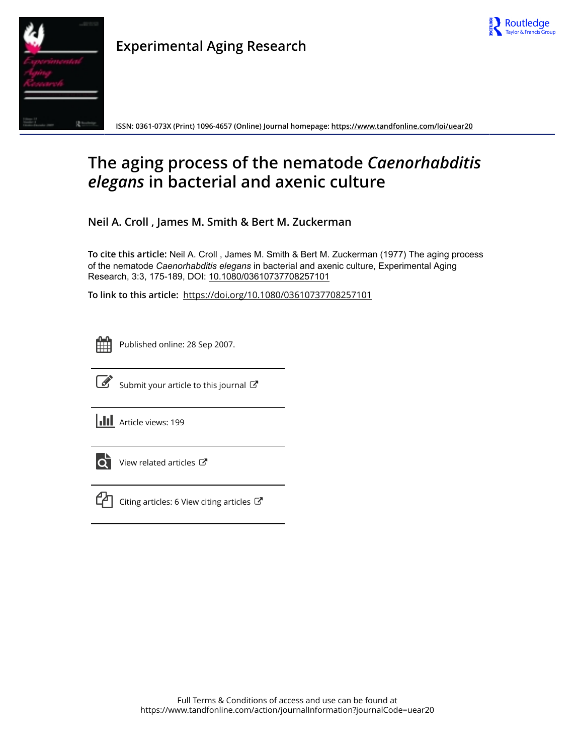

| ۲ |
|---|

**Experimental Aging Research**

**ISSN: 0361-073X (Print) 1096-4657 (Online) Journal homepage: <https://www.tandfonline.com/loi/uear20>**

# **The aging process of the nematode** *Caenorhabditis elegans* **in bacterial and axenic culture**

**Neil A. Croll , James M. Smith & Bert M. Zuckerman**

**To cite this article:** Neil A. Croll , James M. Smith & Bert M. Zuckerman (1977) The aging process of the nematode *Caenorhabditis elegans* in bacterial and axenic culture, Experimental Aging Research, 3:3, 175-189, DOI: [10.1080/03610737708257101](https://www.tandfonline.com/action/showCitFormats?doi=10.1080/03610737708257101)

**To link to this article:** <https://doi.org/10.1080/03610737708257101>



Published online: 28 Sep 2007.



 $\overline{\mathscr{L}}$  [Submit your article to this journal](https://www.tandfonline.com/action/authorSubmission?journalCode=uear20&show=instructions)  $\mathbb{Z}$ 

**III** Article views: 199



 $\overrightarrow{O}$  [View related articles](https://www.tandfonline.com/doi/mlt/10.1080/03610737708257101)  $\overrightarrow{C}$ 



 $\mathbb{C}$  [Citing articles: 6 View citing articles](https://www.tandfonline.com/doi/citedby/10.1080/03610737708257101#tabModule)  $\mathbb{C}$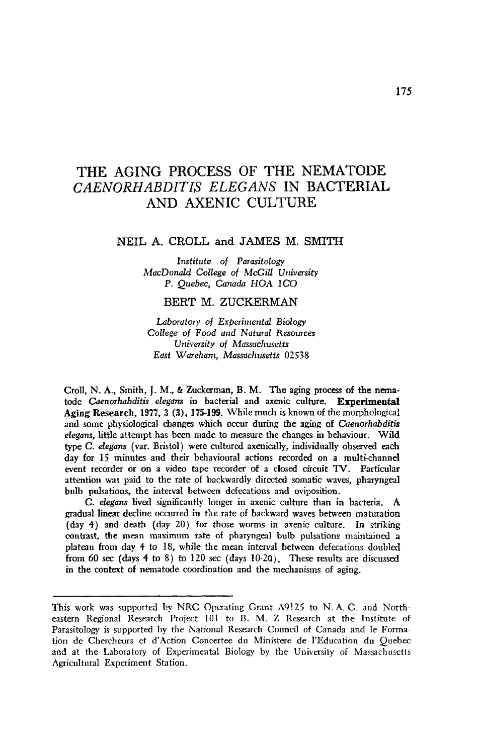## THE **AGING** PROCESS OF THE **NEMATODE**  *CAENORHABDITIS ELEGANS* IN **BACTERIAL AND AXENIC CULTURE**

#### **NEIL A.** CROLL **and JAMES** M. **SMITH**

*Institute of* Parasitology *MacDonuld College of McGill University*  **P.** *Quebec, Canada* **HOA** *1CO* 

#### BERT **M.** ZUCKERMAN

Laboratory of *Experimental Biology College* of *Food and Natural* Resources *University of Massachusetts East Wareham, Massachusetts 02538* 

Croll, N. **A.,** Smith, **J. M.,** & Zuckerman, B. M. **The** aging process **of** the **nma**tode *Caenorhabdifis elegans* in bacterial and axenic culture. **Experimental Aging Research, 1977, 3 (3), 175-199.** While much is known of the morphologica! and some physiological changes which **occur** during the aging **of** *Caenorhabditis elegans,* little attempt has been made to measure the changes in behaviour. Wild type *C. elegans* (var. Bristol) were cultured axenically, individually observed each day for **15** minutes and their behavioural actions recorded on a multi-channel event recorder or **on** a video tape recorder of a closed circuit **TV-** Particular attention was paid to the rate of backwardly directed somatic waves, pharyngeal bulb pulsations, **the** interval between defecations and oviposition.

*C. elegans* lived significantly longer in axenic culture than in bacteria. **A**  gradual **linear** decline occurred in the rate of backward waves between maturation (day **4)** and death (day 20) for **those** worms in axenic culture. In striking contrast, the mean maximum rate of pharyngeal bulb pulsations maintained a plateau from day **4** to 18, while the mean interval between defecations doubled **from** *60* **sec** (days **4** to 8) to 120 sec (days **10-2Q).** These results are discussed in the context **of** nematode coordination and the mechanisms of aging.

This work was supported **by** NRC Operating Grant A9125 *to* N. A.C. aid Sortheastern Regional Research Project 101 to B. M. Z Research at the Institute of Parasitology is supported by the National Research Council of Canada and le Formation de Chercheurs et d'Action Concertee du Ministere de l'Education du Ouebec and at the Laboratory of Experimental Biology by the University **of** Massachusetts Agricultural Experiment Station.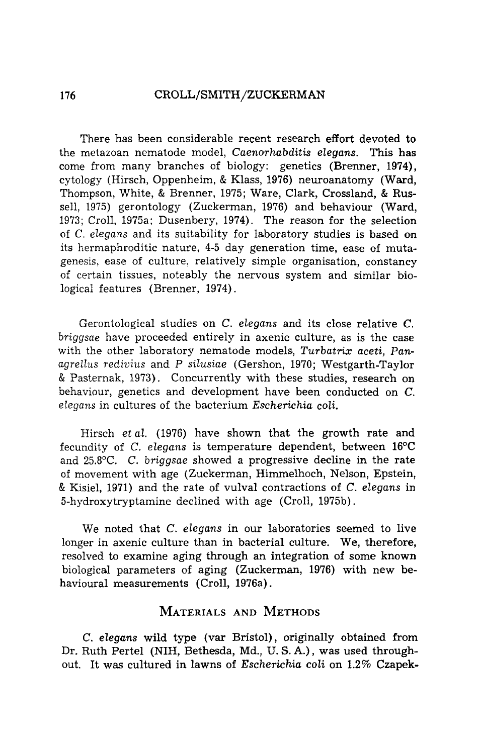#### **176 CROLL/SMITH/ZUCKERMAN**

There has been considerable recent research effort devoted to the metazoan nematode model, Caenorhabditis elegans. This has come from many branches of biology: genetics (Brenner, 1974), cytology (Hirsch, Oppenheim, & Klass, 1976) neuroanatomy (Ward, Thompson, White, & Brenner, 1975; Ware, Clark, Crossland, & Russell, 1975) gerontology (Zuckerman, 1976) and behaviour (Ward, 1973; Croll, 1975a; Dusenbery, 1974). The reason for the selection of C. elegans and its suitability for laboratory studies is based on its hermaphroditic nature, 4-5 day generation time, ease of mutagenesis, ease of culture, relatively simple organisation, constancy of certain tissues, noteably the nervous system and similar biological features (Brenner, 1974).

Gerontological studies on C. elegans and its close relative **C.**  briggsae have proceeded entirely in axenic culture, as is the case with the other laboratory nematode models, Turbatrix aceti, Pan*agrellus* redivius and *P* silusiae (Gershon, 1970; Westgarth-Taylor & Pasternak, 1973). Concurrently with these studies, research on behaviour, genetics and development have been conducted on C. elegans in cultures of the bacterium Escherichia coli.

Hirsch etal. (1976) have shown that the growth rate and fecundity of C. elegans is temperature dependent, between **16°C**  and 25.8°C. C. briggsae showed a progressive decline in the rate of movement with age (Zuckerman, Himmelhoch, Nelson, Epstein,  $\&$  Kisiel, 1971) and the rate of vulval contractions of C. elegans in 5-hydroxytryptamine declined with age (Croll, 1975b).

We noted that C. elegans in our laboratories seemed to live longer in axenic culture than in bacterial culture. We, therefore, resolved to examine aging through an integration of some known biological parameters of aging (Zuckerman, 1976) with new behavioural measurements (Croll, 1976a).

### **MATERIALS AND METHODS**

C. elegans wild type (var Bristol), originally obtained from Dr. Ruth Pertel (NIH, Bethesda, Md., U. *S.* **A.)** , was used throughout. It was cultured in lawns of Escherichia coli on 1.2% Czapek-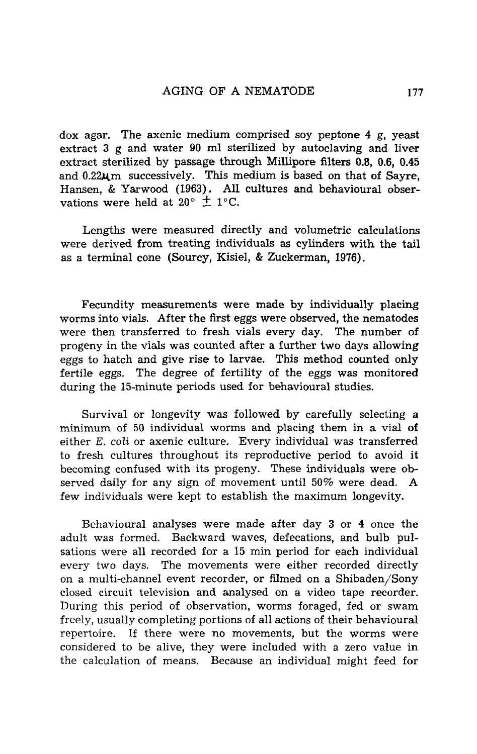dox agar. The axenic medium comprised soy peptone **4** g, yeast extract **3** g and water **90** ml sterilized by autoclaving and liver extract sterilized by passage through M?llipore **filters 0.8,** 0.6, **0.45**  and 0.22um successively. This medium is based on that of Sayre, Hansen, & Yarwood **(1963).** All cultures and behavioural observations were held at  $20^{\circ} \pm 1^{\circ}C$ .

Lengths were measured directly and volumetric calculations were derived from treating individuals **as** cylinders with the tail as a terminal cone (Sourcy, Kisiel, & Zuckerman, 1976).

Fecundity measurements were made **by** individually placing worms into vials. After the first eggs were observed, the nematodes were then transferred to fresh vials every day. The number of progeny in the vials was counted after a further two days allowing eggs to hatch and give rise to larvae. This method counted **only**  fertile eggs. The degree of fertility of the eggs was monitored during the 15-minute periods used for behavioural studies.

Survival or longevity was followed by carefully selecting a minimum **of 50** individual worms and placing them in a vial **of**  either *E. coli* or axenie culture, Every individual was transferred to fresh cultures throughout its reproductive period to avoid it becoming confused with its progeny. These individuals were observed daily for any sign of movement until 50% were dead. **A**  few individuals were kept to establish the maximum longevity.

Behavioural analyses were made after day **3** or **4** once the adult was formed. Backward waves, defecations, and bulb pulsations were all recorded for a 15 min period for each individual every two days. The movements were either recorded directly on a multi-channel event recorder, or filmed on a Shibaden/Sony closed circuit television and analysed on a video tape recorder. During this period of observation, worms foraged, fed or swam freely, usually completing portions of all actions of their behavioural repertoire. If there were no movements, but the worms were considered to be alive, they were included with a zero value in the calculation of means. Because an individual might feed for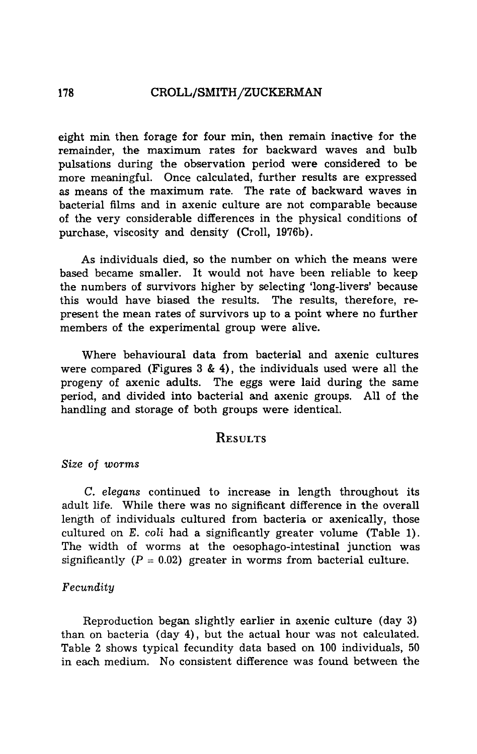#### 178 **CROLL/SMITH/ZUCKERMAN**

eight min then forage for four min, then remain inactive for the remainder, the maximum rates for backward waves and bulb pulsations during the observation period were considered to be more meaningful. Once calculated, further results are expressed as means of the maximum rate. The rate of backward waves in bacterial films and in axenic culture are not comparable because of the very considerable differences in the physical conditions **of**  purchase, viscosity and density (Croll, 1976b).

As individuals died, so the number on which the means were based became smaller. It would not have been reliable to keep the numbers of survivors higher by selecting 'long-livers' because this would have biased the results. The results, therefore, **re**present the mean rates of survivors up to a point where no further members of the experimental group were alive.

Where behavioural data from bacterial and axenic cultures were compared (Figures **3** & **4),** the individuals used were all the progeny of axenic adults. The eggs were laid during the same period, and divided into bacterial and axenic groups. All of the handling and storage of both groups were identical.

## **RESULTS**

#### *Size* of *worms*

C. *elegans* continued to increase in length throughout its adult life. While there was no significant difference in the overall length of individuals cultured from bacteria or axenically, those cultured on E. *coli* had a significantly greater volume (Table 1). The width of worms at the oesophago-intestinal junction was significantly  $(P = 0.02)$  greater in worms from bacterial culture.

#### *Fecundity*

Reproduction began slightly earlier in axenic culture (day **3)**  than on bacteria (day **4),** but the actual hour was not calculated. Table 2 shows typical fecundity data based on 100 individuals, 50 in each medium. No consistent difference was found between the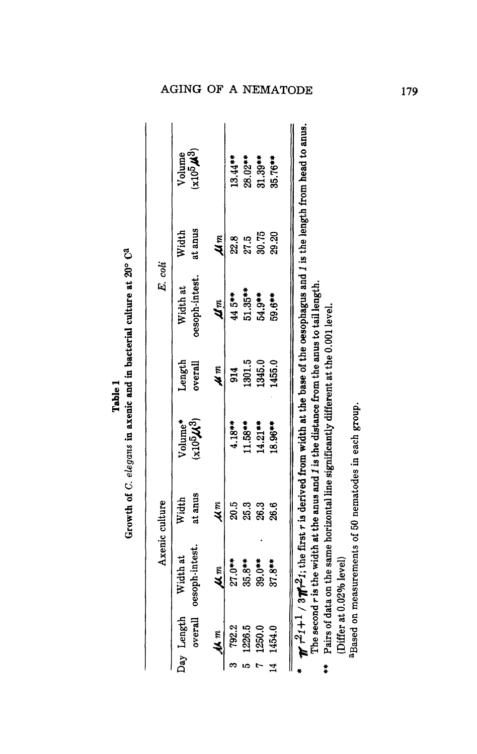| $\frac{1}{2}$ | mo ra<br>į<br>i<br>S<br>rlegan. |
|---------------|---------------------------------|
|               |                                 |
|               |                                 |
|               |                                 |
|               | ľ                               |

|            | Axenic culture                     |                  |                                   |                   |                            | E. coli          |                          |
|------------|------------------------------------|------------------|-----------------------------------|-------------------|----------------------------|------------------|--------------------------|
| Day Length | overall oesoph-intest.<br>Width at | at anus<br>Width | Volume*<br>$(x10^5\mathcal{M}^3)$ | Length<br>overall | oesoph-intest.<br>Width at | at anus<br>Width | $(x10^5\mu^3)$<br>Volume |
| 44 m       | $\frac{m}{2}$                      | 4m               |                                   | M m               | Um.                        | u n              |                          |
| 792.2      | $27.0***$                          | 20.5             | $4.18***$                         | 914               | $44.5***$                  | 22.8             | $13.44***$               |
| 1226.5     | $35.8***$                          | 25.3             | $11.58***$                        | 1301.5            | $51.35***$                 | 27.5             | 28.02**                  |
| 1250.0     | $39.0**$                           | 26.3             | $14.21***$                        | 1345.0            | 54.9**                     | 30.75            | $31.39***$               |
| 1454.0     | $37.8**$                           | 26.6             | 18.96**                           | 1455.0            | 59.6**                     | 29.20            | $35.76***$               |

Pairs of data on the same horizontal line significantly different at the 0.001 level. (Differ at 0.02% level)  $^{\rm 3Dased~on~measurements~of~50~nematodes~in~each~group.}$ (Differ at *0.020h* level)

aBased on measurements of 50 nematodes in each group.

**179**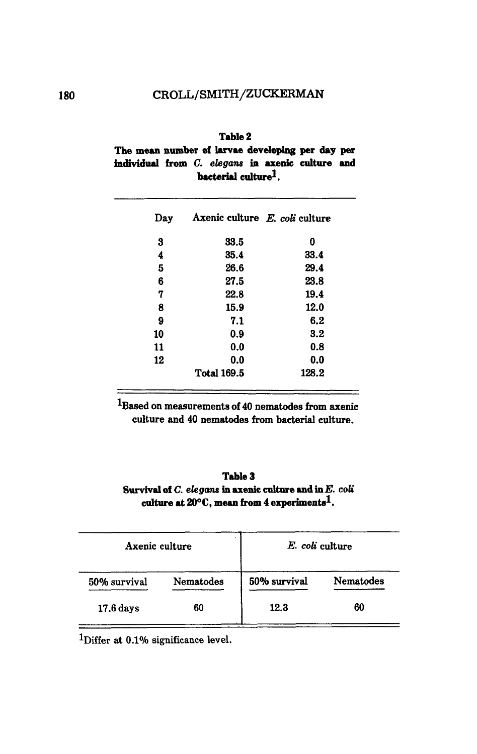## CROLL/SMITH/ZUCKERMAN

| Table 2                                            |  |  |  |  |  |  |  |
|----------------------------------------------------|--|--|--|--|--|--|--|
| The mean number of larvae developing per day per   |  |  |  |  |  |  |  |
| individual from $C.$ elegans in axenic culture and |  |  |  |  |  |  |  |
| bacterial culture <sup>1</sup> .                   |  |  |  |  |  |  |  |

| Day | Axenic culture E. coli culture |       |
|-----|--------------------------------|-------|
| 3   | 33.5                           | 0     |
| 4   | 35.4                           | 33.4  |
| 5   | 26.6                           | 29.4  |
| 6   | 27.5                           | 23.8  |
| 7   | 22.8                           | 19.4  |
| 8   | 15.9                           | 12.0  |
| 9   | 7.1                            | 6.2   |
| 10  | 0.9                            | 3.2   |
| 11  | 0.0                            | 0.8   |
| 12  | 0.0                            | 0.0   |
|     | <b>Total 169.5</b>             | 128.2 |

**lBased on measurements of 40 nematodes from axenic culture and 40 nematodes from bacterial culture.** 

#### **Table 3**  Survival of *C. elegans* in axenic culture and in *E. coli* **cnlture at** *WC,* **mern from 4 experimentsl.**

| Axenic culture    |           | E. coli culture |           |
|-------------------|-----------|-----------------|-----------|
| 50% survival      | Nematodes | 50% survival    | Nematodes |
| 60<br>$17.6$ days |           | 12.3            | 60        |

<sup>1</sup>Differ at 0.1% significance level.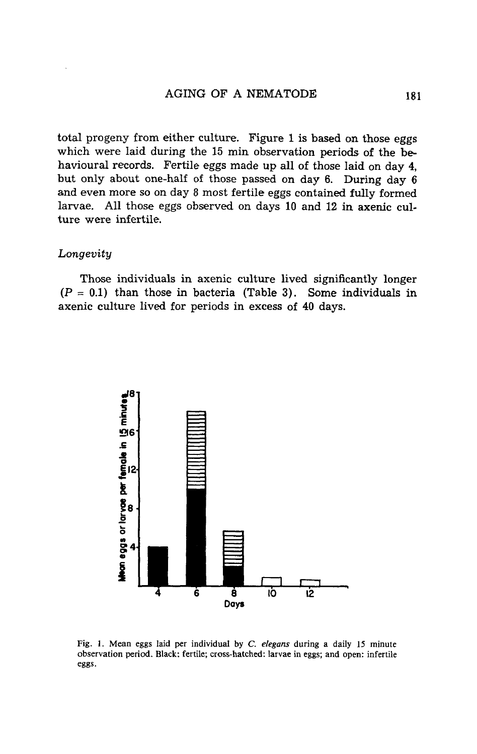total progeny from either culture. Figure 1 is based on those eggs which were laid during the 15 min observation periods of the **be**havioural records. Fertile eggs made **up** all of those laid on day **4,**  but only about one-half of those passed on day 6. During day 6 and even more so on day 8 most fertile eggs contained fully formed larvae. All those eggs observed on days 10 and **12** in axenic culture were infertile.

#### *Longevity*

Those individuals in axenic culture lived significantly longer  $(P = 0.1)$  than those in bacteria (Table 3). Some individuals in axenic culture lived for periods in excess of 40 days.



**Fig. 1. Mean eggs laid per individual by C.** *eleguns* **during a daily 15 minute observation period. Black: fertile; cross-hatched: larvae in eggs; and open: infertile eggs.**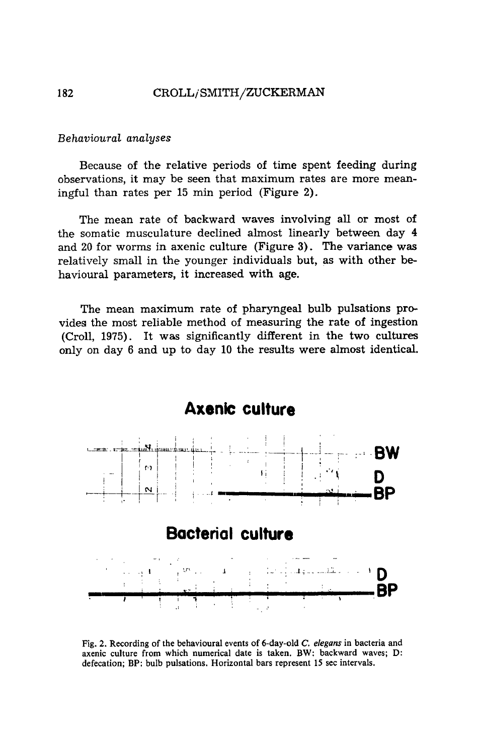#### *Behavioural analyses*

Because of the relative periods of time spent feeding during observations, it may be seen that maximum rates are more meaningful than rates per **15** min period (Figure **2).** 

The mean rate of backward waves involving all or most of the somatic musculature declined almost linearly between day **4**  and **20** for worms in axenic culture (Figure **3).** The variance was relatively small in the younger individuals but, as with other behavioural parameters, it increased with **age.** 

The mean maximum rate of pharyngeal bulb pulsations **pro**vides the most reliable method **of** measuring the rate of ingestion (Croll, 1975). It was significantly different in the two cultures only on day 6 and up to day 10 the results were almost identical.



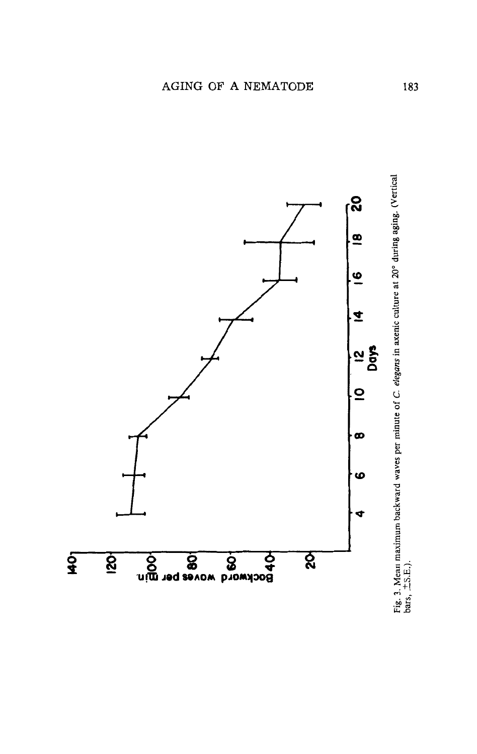

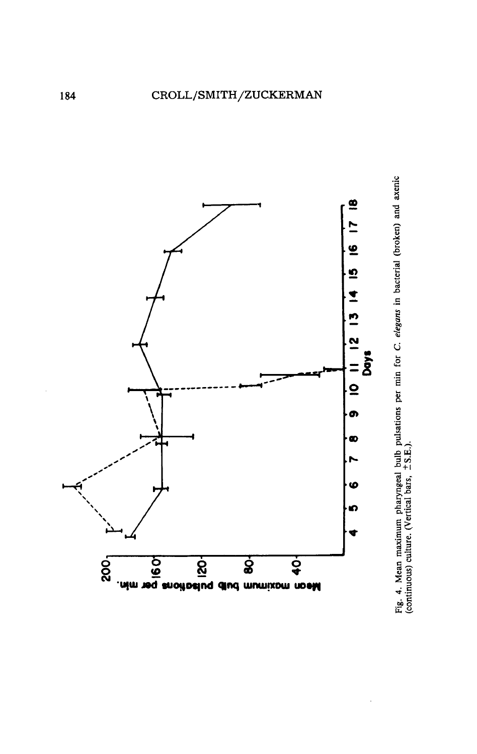

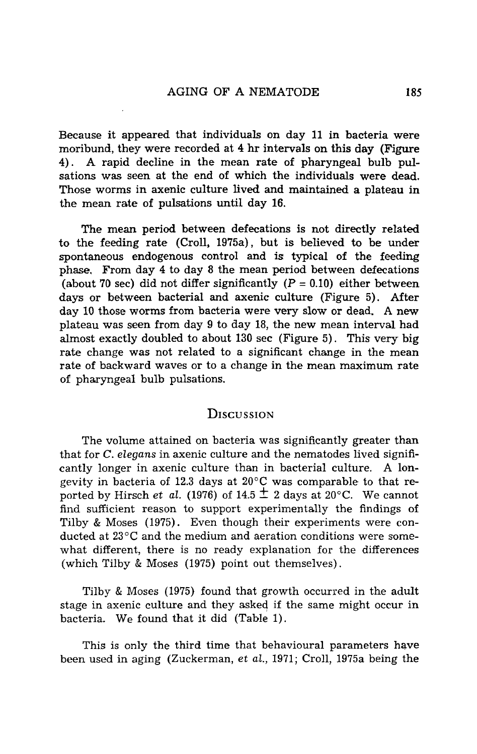Because it appeared that individuals on day 11 in bacteria were moribund, they were recorded at **4 hr** intervals on this day (Figure **4). A** rapid decline in the mean rate **of** pharyngeal bulb pulsations was seen at the end of which the individuals were dead. Those worms in axenic culture lived **and** maintained a plateau in the mean rate **of** pulsations until day 16.

The mean period between defecations **is** not directly related to the feeding rate (Croll, 1975a), but is believed to be under spontaneous endogenous control and is typical **of** the **feeding**  phase. From day **4** to day 8 the mean period between defecations (about 70 sec) did not differ significantly  $(P = 0.10)$  either between days or between bacterial and axenic culture (Figure 5). After day 10 those worms from bacteria were very slow or dead. **A** new plateau was seen from day 9 to day 18, the new mean interval had almost exactly doubled to about 130 sec (Figure 5). This very big **rate** change was not related to a significant change in the mean rate of backward waves or to a change in the mean maximum rate of pharyngeal bulb pulsations.

#### **DISCUSSION**

The volume attained on bacteria was significantly greater than that for C. *elegans* in axenic culture and the nematodes lived significantly longer in axenic culture than in bacterial culture. **A** longevity in bacteria of 12.3 days at 20°C was comparable to that **re**ported by Hirsch *et al.* (1976) of 14.5  $\pm$  2 days at 20<sup>o</sup>C. We cannot find sufficient reason to support experimentally the findings **of**  Tilby & Moses (1975). Even though their experiments were conducted at 23°C and the medium and aeration conditions were somewhat different, there is no ready explanation for the differences (which Tilby & Moses (1975) point out themselves).

Tilby & Moses (1975) found that growth occurred in the adult stage in axenic culture and they asked if the same might occur in bacteria. We found that it did (Table 1).

This is only the third time that behavioural parameters have been used in aging (Zuckerman, *et al.,* 1971; Croll, 1975a being the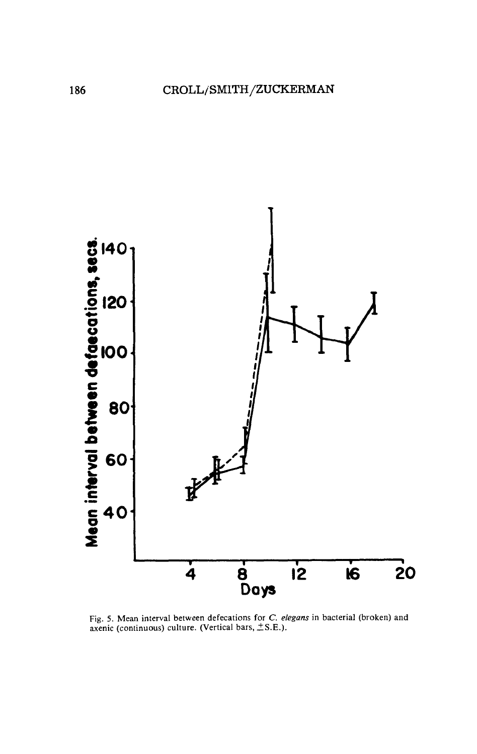

Fig. 5. Mean interval between defecations for *C. elegans* in bacterial (broken) and axenic (continuous) culture. (Vertical bars,  $\pm$  S.E.).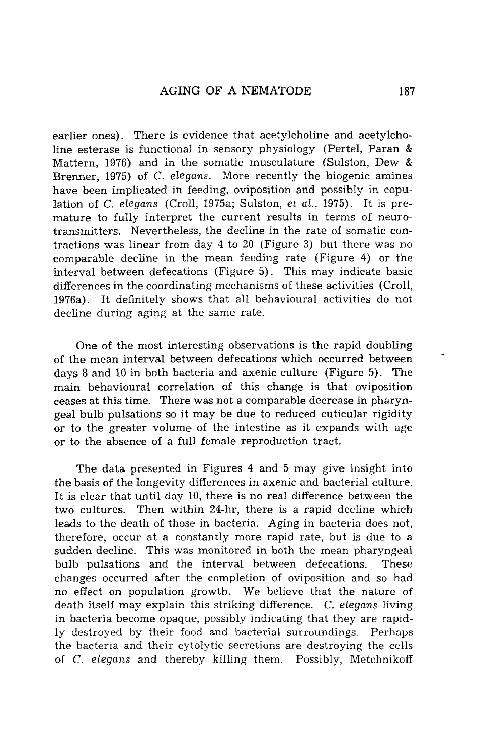earlier ones). There is evidence that acetylcholine and acetylcholine esterase is functional in sensory physiology (Pertel, Paran & Mattern, 1976) and in the somatic musculature (Sulston, Dew & Brenner, 1975) of C. *elegans.* More recently the biogenic amines have been implicated in feeding, oviposition and possibly in copulation of C. *elegans* (Croll, 1975a; Sulston, *et al.,* 1975). It is premature to fully interpret the current results in terms of neurotransmitters. Nevertheless, the decline in the rate of somatic contractions was linear from day 4 to 20 (Figure **3)** but there was no comparable decline in the mean feeding rate (Figure 4) or the interval between defecations (Figure 5). This may indicate basic differences in the coordinating mechanisms of these activities (Croll, 1976a). It definitely shows that all behavioural activities do not decline during aging at the same rate.

One of the most interesting observations is the rapid doubling of the mean interval between defecations which occurred between days **8** and 10 in both bacteria and axenic culture (Figure 5). The main behavioural correlation of this change is that oviposition ceases at this time. There was not a comparable decrease in pharyngeal bulb pulsations *so* it may be due to reduced cuticular rigidity or to the greater volume of the intestine as it expands with age or to the absence of a full female reproduction tract.

The data presented in Figures 4 and 5 may give insight into the basis of the longevity differences in axenic and bacterial culture. It is clear that until day 10, there is no real difference between the two cultures. Then within 24-hr, there is a rapid decline which leads to the death of those in bacteria. Aging in bacteria does not, therefore, occur at a constantly more rapid rate, but is due to a sudden decline. This was monitored in both the mean pharyngeal bulb pulsations and the interval between defecations. These changes occurred after the completion of oviposition and so had no effect on population growth. We believe that the nature of death itself may explain this striking difference. C. *elegans* living in bacteria become opaque, possibly indicating that they are rapidly destroyed by their food and bacterial surroundings. Perhaps the bacteria and their cytolytic secretions are destroying the cells of C. *elegans* and thereby killing them. Possibly, Metchnikoff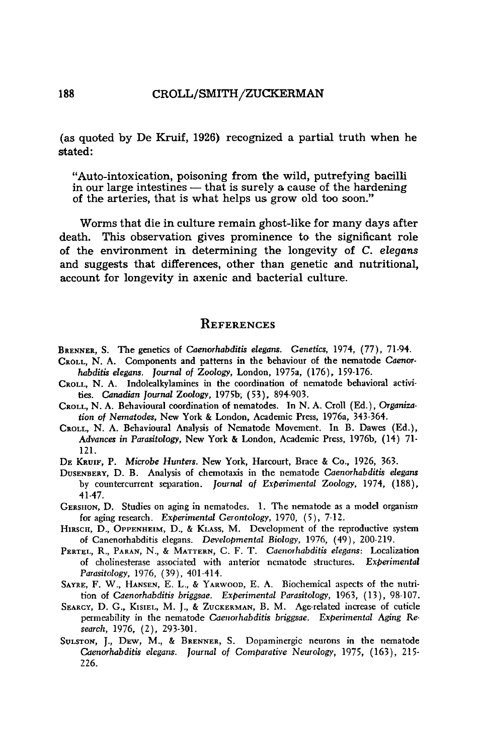(as quoted by De Kruif, 1926) recognized a partial truth when he dated:

"Auto-intoxication, poisoning from the wild, putrefying bacilli "Auto-intoxication, poisoning from the wild, putrefying bacilli<br>in our large intestines — that is surely a cause of the hardening<br>of the arteries, that is what belps us grow eld too seep." in our large intestines — that is surely a cause of the hardening of the arteries, that is what helps us grow old too soon."

Worms that die in culture remain ghost-like for many days after death. This observation gives prominence to the significant role of the environment in determining the longevity of C. *elegans* and suggests that differences, other than genetic and nutritional, account for longevity in axenic and bacterial culture.

#### **REFERENCES**

- BRENNER, S.The genetics of *Caenorhabditis elegans. Genetics,* 1974, (77), 71-94. CROLL, N. A. Components and patterns in **the** behaviour of the nematode **Caenor-**
- *habditis elegans. Journd of Zoology,* London, 1975a, (176), 159-176.
- CROLL, N. A. Indolealkylamines in the coordination of nematode behavioral activities. *Canudian* **journul** Zoology, 1975b; (53), 894-903.
- CROLL, N. A. Behavioural coordination of nematodes. In N. A. Croll (Ed.), *Organiza*tion *of Nematodes,* New **York** & London, Academic Press, 1976a, 343-364.
- CROLL, N. A. Behavioural Analysis of Nematode Movement. In B. Dawes (Ed.), *Advances in Parasitology,* New **York** & London, Academic Press, 1976b, (14) 71- 121.
- DE KRUIF, P. *Microbe Hunters.* New **York,** Harcourt, Brace & Co., 1926, 363.
- DUSENBERY, D. B. Analysis of chemotaxis in the nematode *Caenorhabditis elegans*  by countercurrent separation. Journal of *Experimental Zoology*, 1974, (188), 41-47.
- GERSHON, D. Studies on aging in nematodes. 1. The nematode as a model organism for aging research. *Experimental Gerontology,* 1970, (5), 7-12.
- HIRSCH, D., OPPENHEIM, D., & KLASS, M. Development of the reproductive system of Canenorhabditis elegans. *Developmental Biology,* 1976, (49), 200-219.
- PERTEL, R., PARAN, N., & MATTERN, C. F. T. Caenorhabditis elegans: Localization of cholinesterase associated with anterior nematode structures. *Experimental Parasitology,* 1976, (39). 401-414.
- SAYRE, F. W., HANSEN, E. L., & YARWOOD, E. A. Biochemical aspects of the nutri-*Experimental Parasitology,* 1963, (13), 98-107. tion of *Caenorhabditis briggsae.*
- SEARCY, D. G., KISIEL, M. J., & ZUCKERMAN, B. M. Age-related increase of cuticle *Experimental Aging Re-*permeability in the nematode *Caeiiorhabditis briggsae. search,* 1976, (2), 293-301.
- SULSTON, J., DEW, M., & BRENNER, S. Dopaminergic neurons in the nematode Caenorhabditis elegans. Journal of Comparative Neurology, 1975, (163), 215-226.